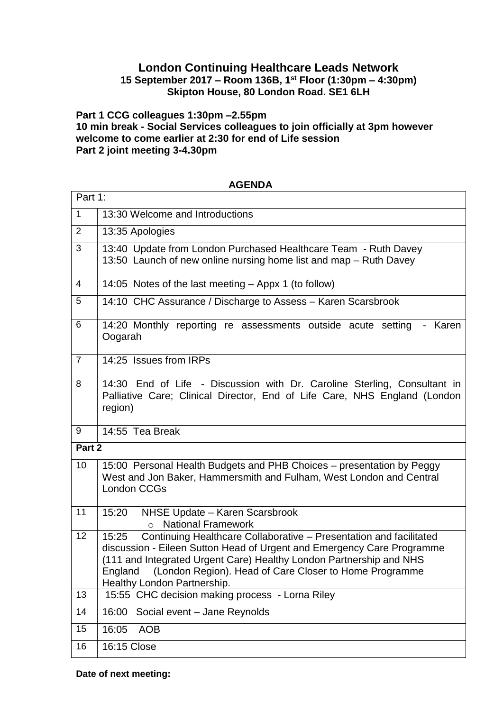## **London Continuing Healthcare Leads Network**

## **15 September 2017 – Room 136B, 1st Floor (1:30pm – 4:30pm) Skipton House, 80 London Road. SE1 6LH**

**Part 1 CCG colleagues 1:30pm –2.55pm 10 min break - Social Services colleagues to join officially at 3pm however welcome to come earlier at 2:30 for end of Life session Part 2 joint meeting 3-4.30pm**

| Part 1:        |                                                                                                                                                                                                                                                                                                |
|----------------|------------------------------------------------------------------------------------------------------------------------------------------------------------------------------------------------------------------------------------------------------------------------------------------------|
| $\mathbf{1}$   | 13:30 Welcome and Introductions                                                                                                                                                                                                                                                                |
| 2              | 13:35 Apologies                                                                                                                                                                                                                                                                                |
| 3              | 13:40 Update from London Purchased Healthcare Team - Ruth Davey<br>13:50 Launch of new online nursing home list and map - Ruth Davey                                                                                                                                                           |
| 4              | 14:05 Notes of the last meeting - Appx 1 (to follow)                                                                                                                                                                                                                                           |
| 5              | 14:10 CHC Assurance / Discharge to Assess - Karen Scarsbrook                                                                                                                                                                                                                                   |
| 6              | 14:20 Monthly reporting re assessments outside acute setting - Karen<br>Oogarah                                                                                                                                                                                                                |
| $\overline{7}$ | 14:25 Issues from IRPs                                                                                                                                                                                                                                                                         |
| 8              | 14:30 End of Life - Discussion with Dr. Caroline Sterling, Consultant in<br>Palliative Care; Clinical Director, End of Life Care, NHS England (London<br>region)                                                                                                                               |
| 9              | 14:55 Tea Break                                                                                                                                                                                                                                                                                |
| Part 2         |                                                                                                                                                                                                                                                                                                |
| 10             | 15:00 Personal Health Budgets and PHB Choices - presentation by Peggy<br>West and Jon Baker, Hammersmith and Fulham, West London and Central<br><b>London CCGs</b>                                                                                                                             |
| 11             | NHSE Update - Karen Scarsbrook<br>15:20<br><b>National Framework</b><br>$\Omega$                                                                                                                                                                                                               |
| 12             | Continuing Healthcare Collaborative - Presentation and facilitated<br>15:25<br>discussion - Eileen Sutton Head of Urgent and Emergency Care Programme<br>(111 and Integrated Urgent Care) Healthy London Partnership and NHS<br>England (London Region). Head of Care Closer to Home Programme |
|                | Healthy London Partnership.                                                                                                                                                                                                                                                                    |
| 13             | 15:55 CHC decision making process - Lorna Riley                                                                                                                                                                                                                                                |
| 14             | 16:00<br>Social event - Jane Reynolds                                                                                                                                                                                                                                                          |
| 15             | 16:05<br><b>AOB</b>                                                                                                                                                                                                                                                                            |

**AGENDA**